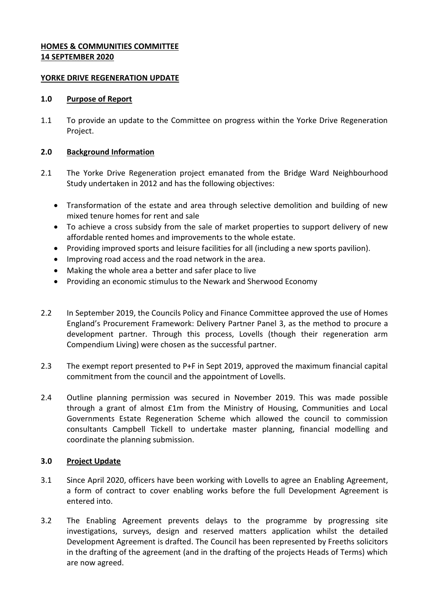## **HOMES & COMMUNITIES COMMITTEE 14 SEPTEMBER 2020**

### **YORKE DRIVE REGENERATION UPDATE**

#### **1.0 Purpose of Report**

1.1 To provide an update to the Committee on progress within the Yorke Drive Regeneration Project.

### **2.0 Background Information**

- 2.1 The Yorke Drive Regeneration project emanated from the Bridge Ward Neighbourhood Study undertaken in 2012 and has the following objectives:
	- Transformation of the estate and area through selective demolition and building of new mixed tenure homes for rent and sale
	- To achieve a cross subsidy from the sale of market properties to support delivery of new affordable rented homes and improvements to the whole estate.
	- Providing improved sports and leisure facilities for all (including a new sports pavilion).
	- Improving road access and the road network in the area.
	- Making the whole area a better and safer place to live
	- Providing an economic stimulus to the Newark and Sherwood Economy
- 2.2 In September 2019, the Councils Policy and Finance Committee approved the use of Homes England's Procurement Framework: Delivery Partner Panel 3, as the method to procure a development partner. Through this process, Lovells (though their regeneration arm Compendium Living) were chosen as the successful partner.
- 2.3 The exempt report presented to P+F in Sept 2019, approved the maximum financial capital commitment from the council and the appointment of Lovells.
- 2.4 Outline planning permission was secured in November 2019. This was made possible through a grant of almost £1m from the Ministry of Housing, Communities and Local Governments Estate Regeneration Scheme which allowed the council to commission consultants Campbell Tickell to undertake master planning, financial modelling and coordinate the planning submission.

## **3.0 Project Update**

- 3.1 Since April 2020, officers have been working with Lovells to agree an Enabling Agreement, a form of contract to cover enabling works before the full Development Agreement is entered into.
- 3.2 The Enabling Agreement prevents delays to the programme by progressing site investigations, surveys, design and reserved matters application whilst the detailed Development Agreement is drafted. The Council has been represented by Freeths solicitors in the drafting of the agreement (and in the drafting of the projects Heads of Terms) which are now agreed.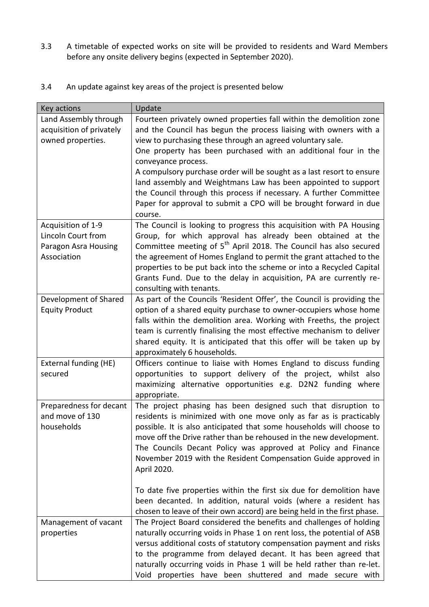3.3 A timetable of expected works on site will be provided to residents and Ward Members before any onsite delivery begins (expected in September 2020).

| 3.4 |  | An update against key areas of the project is presented below |
|-----|--|---------------------------------------------------------------|
|-----|--|---------------------------------------------------------------|

| Key actions              | Update                                                                        |
|--------------------------|-------------------------------------------------------------------------------|
| Land Assembly through    | Fourteen privately owned properties fall within the demolition zone           |
| acquisition of privately | and the Council has begun the process liaising with owners with a             |
| owned properties.        | view to purchasing these through an agreed voluntary sale.                    |
|                          | One property has been purchased with an additional four in the                |
|                          | conveyance process.                                                           |
|                          | A compulsory purchase order will be sought as a last resort to ensure         |
|                          | land assembly and Weightmans Law has been appointed to support                |
|                          | the Council through this process if necessary. A further Committee            |
|                          | Paper for approval to submit a CPO will be brought forward in due             |
|                          | course.                                                                       |
| Acquisition of 1-9       | The Council is looking to progress this acquisition with PA Housing           |
| Lincoln Court from       | Group, for which approval has already been obtained at the                    |
| Paragon Asra Housing     | Committee meeting of 5 <sup>th</sup> April 2018. The Council has also secured |
| Association              | the agreement of Homes England to permit the grant attached to the            |
|                          | properties to be put back into the scheme or into a Recycled Capital          |
|                          | Grants Fund. Due to the delay in acquisition, PA are currently re-            |
|                          | consulting with tenants.                                                      |
| Development of Shared    | As part of the Councils 'Resident Offer', the Council is providing the        |
| <b>Equity Product</b>    | option of a shared equity purchase to owner-occupiers whose home              |
|                          | falls within the demolition area. Working with Freeths, the project           |
|                          | team is currently finalising the most effective mechanism to deliver          |
|                          | shared equity. It is anticipated that this offer will be taken up by          |
|                          | approximately 6 households.                                                   |
| External funding (HE)    | Officers continue to liaise with Homes England to discuss funding             |
| secured                  | opportunities to support delivery of the project, whilst also                 |
|                          | maximizing alternative opportunities e.g. D2N2 funding where                  |
|                          | appropriate.                                                                  |
| Preparedness for decant  | The project phasing has been designed such that disruption to                 |
| and move of 130          | residents is minimized with one move only as far as is practicably            |
| households               | possible. It is also anticipated that some households will choose to          |
|                          | move off the Drive rather than be rehoused in the new development.            |
|                          | The Councils Decant Policy was approved at Policy and Finance                 |
|                          | November 2019 with the Resident Compensation Guide approved in                |
|                          | April 2020.                                                                   |
|                          | To date five properties within the first six due for demolition have          |
|                          | been decanted. In addition, natural voids (where a resident has               |
|                          | chosen to leave of their own accord) are being held in the first phase.       |
| Management of vacant     | The Project Board considered the benefits and challenges of holding           |
| properties               | naturally occurring voids in Phase 1 on rent loss, the potential of ASB       |
|                          | versus additional costs of statutory compensation payment and risks           |
|                          | to the programme from delayed decant. It has been agreed that                 |
|                          | naturally occurring voids in Phase 1 will be held rather than re-let.         |
|                          | Void properties have been shuttered and made secure with                      |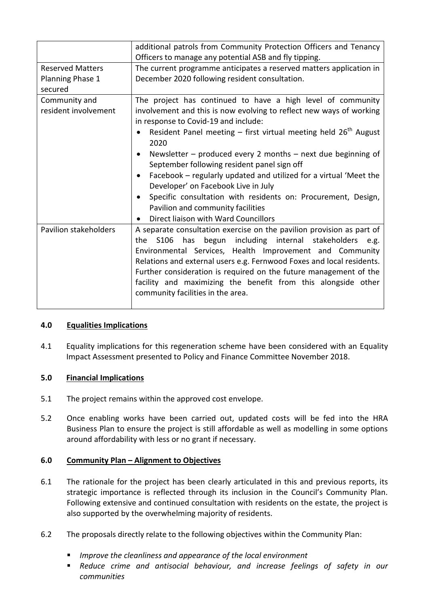|                                       | additional patrols from Community Protection Officers and Tenancy<br>Officers to manage any potential ASB and fly tipping.                                                                                                                                                                                                                                                                                                                                            |
|---------------------------------------|-----------------------------------------------------------------------------------------------------------------------------------------------------------------------------------------------------------------------------------------------------------------------------------------------------------------------------------------------------------------------------------------------------------------------------------------------------------------------|
| <b>Reserved Matters</b>               | The current programme anticipates a reserved matters application in                                                                                                                                                                                                                                                                                                                                                                                                   |
| Planning Phase 1                      | December 2020 following resident consultation.                                                                                                                                                                                                                                                                                                                                                                                                                        |
| secured                               |                                                                                                                                                                                                                                                                                                                                                                                                                                                                       |
| Community and<br>resident involvement | The project has continued to have a high level of community<br>involvement and this is now evolving to reflect new ways of working<br>in response to Covid-19 and include:<br>Resident Panel meeting $-$ first virtual meeting held $26th$ August                                                                                                                                                                                                                     |
|                                       | 2020                                                                                                                                                                                                                                                                                                                                                                                                                                                                  |
|                                       | Newsletter – produced every 2 months – next due beginning of<br>September following resident panel sign off<br>Facebook – regularly updated and utilized for a virtual 'Meet the<br>Developer' on Facebook Live in July<br>Specific consultation with residents on: Procurement, Design,                                                                                                                                                                              |
|                                       | Pavilion and community facilities<br>Direct liaison with Ward Councillors                                                                                                                                                                                                                                                                                                                                                                                             |
| Pavilion stakeholders                 | A separate consultation exercise on the pavilion provision as part of<br>has begun including internal stakeholders<br>S <sub>106</sub><br>e.g.<br>the<br>Environmental Services, Health Improvement and Community<br>Relations and external users e.g. Fernwood Foxes and local residents.<br>Further consideration is required on the future management of the<br>facility and maximizing the benefit from this alongside other<br>community facilities in the area. |

## **4.0 Equalities Implications**

4.1 Equality implications for this regeneration scheme have been considered with an Equality Impact Assessment presented to Policy and Finance Committee November 2018.

# **5.0 Financial Implications**

- 5.1 The project remains within the approved cost envelope.
- 5.2 Once enabling works have been carried out, updated costs will be fed into the HRA Business Plan to ensure the project is still affordable as well as modelling in some options around affordability with less or no grant if necessary.

# **6.0 Community Plan – Alignment to Objectives**

- 6.1 The rationale for the project has been clearly articulated in this and previous reports, its strategic importance is reflected through its inclusion in the Council's Community Plan. Following extensive and continued consultation with residents on the estate, the project is also supported by the overwhelming majority of residents.
- 6.2 The proposals directly relate to the following objectives within the Community Plan:
	- *Improve the cleanliness and appearance of the local environment*
	- *Reduce crime and antisocial behaviour, and increase feelings of safety in our communities*